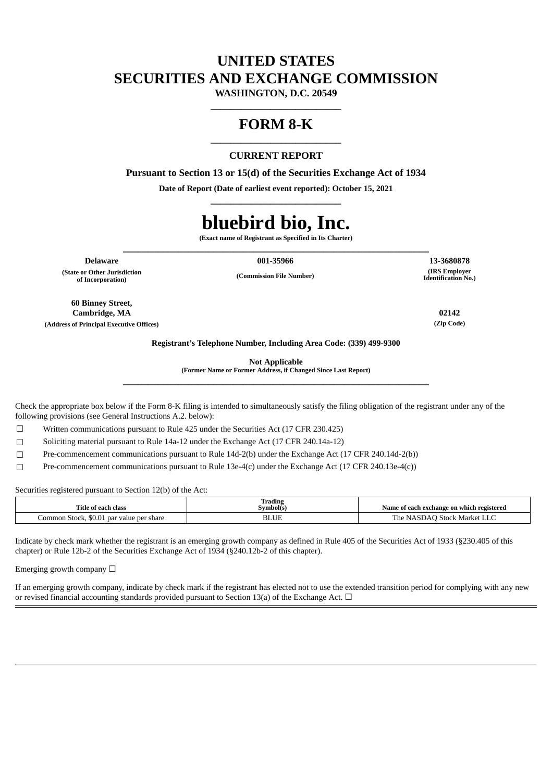# **UNITED STATES SECURITIES AND EXCHANGE COMMISSION**

**WASHINGTON, D.C. 20549 \_\_\_\_\_\_\_\_\_\_\_\_\_\_\_\_\_\_\_\_\_\_\_\_\_\_**

## **FORM 8-K \_\_\_\_\_\_\_\_\_\_\_\_\_\_\_\_\_\_\_\_\_\_\_\_\_\_**

### **CURRENT REPORT**

**Pursuant to Section 13 or 15(d) of the Securities Exchange Act of 1934**

**Date of Report (Date of earliest event reported): October 15, 2021 \_\_\_\_\_\_\_\_\_\_\_\_\_\_\_\_\_\_\_\_\_\_\_\_\_\_**

# **bluebird bio, Inc.**

**(Exact name of Registrant as Specified in Its Charter) \_\_\_\_\_\_\_\_\_\_\_\_\_\_\_\_\_\_\_\_\_\_\_\_\_\_\_\_\_\_\_\_\_\_\_\_\_\_\_\_\_\_\_\_\_\_\_\_\_\_\_\_\_\_\_\_\_\_\_\_\_**

**(State or Other Jurisdiction of Incorporation)**

**Delaware 001-35966 13-3680878**

**(Commission File Number)**

**60 Binney Street, Cambridge, MA 02142 (Address of Principal Executive Offices) (Zip Code)**

**(IRS Employer Identification No.)**

**Registrant's Telephone Number, Including Area Code: (339) 499-9300**

**Not Applicable**

**(Former Name or Former Address, if Changed Since Last Report) \_\_\_\_\_\_\_\_\_\_\_\_\_\_\_\_\_\_\_\_\_\_\_\_\_\_\_\_\_\_\_\_\_\_\_\_\_\_\_\_\_\_\_\_\_\_\_\_\_\_\_\_\_\_\_\_\_\_\_\_\_**

Check the appropriate box below if the Form 8-K filing is intended to simultaneously satisfy the filing obligation of the registrant under any of the following provisions (see General Instructions A.2. below):

☐ Written communications pursuant to Rule 425 under the Securities Act (17 CFR 230.425)

☐ Soliciting material pursuant to Rule 14a-12 under the Exchange Act (17 CFR 240.14a-12)

☐ Pre-commencement communications pursuant to Rule 14d-2(b) under the Exchange Act (17 CFR 240.14d-2(b))

 $\Box$  Pre-commencement communications pursuant to Rule 13e-4(c) under the Exchange Act (17 CFR 240.13e-4(c))

Securities registered pursuant to Section 12(b) of the Act:

| Title of each class                           | Trading<br>Symbol(s) | Name of each exchange on which registered |
|-----------------------------------------------|----------------------|-------------------------------------------|
| Common Stock, \$0.01<br>1 par value per share | <b>BLUE</b>          | ⋅NASDAO Stock Market LLC<br>The           |

Indicate by check mark whether the registrant is an emerging growth company as defined in Rule 405 of the Securities Act of 1933 (§230.405 of this chapter) or Rule 12b-2 of the Securities Exchange Act of 1934 (§240.12b-2 of this chapter).

Emerging growth company  $\Box$ 

If an emerging growth company, indicate by check mark if the registrant has elected not to use the extended transition period for complying with any new or revised financial accounting standards provided pursuant to Section 13(a) of the Exchange Act.  $\Box$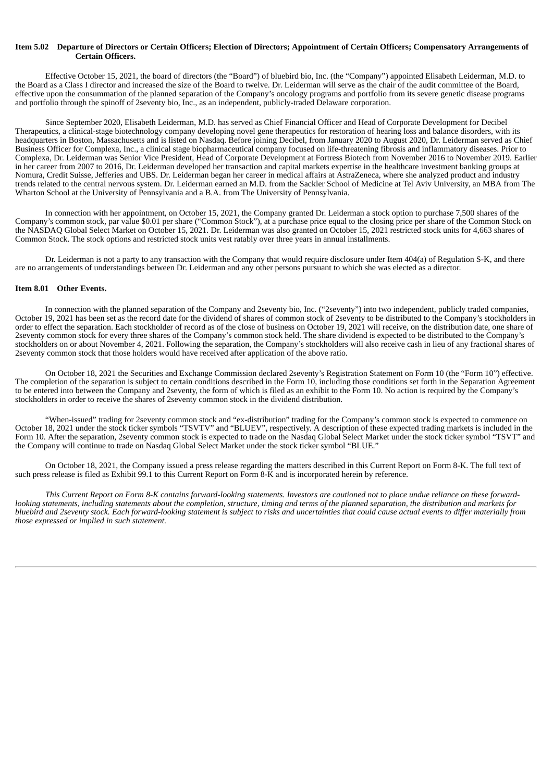#### Item 5.02 Departure of Directors or Certain Officers; Election of Directors; Appointment of Certain Officers; Compensatory Arrangements of **Certain Officers.**

Effective October 15, 2021, the board of directors (the "Board") of bluebird bio, Inc. (the "Company") appointed Elisabeth Leiderman, M.D. to the Board as a Class I director and increased the size of the Board to twelve. Dr. Leiderman will serve as the chair of the audit committee of the Board, effective upon the consummation of the planned separation of the Company's oncology programs and portfolio from its severe genetic disease programs and portfolio through the spinoff of 2seventy bio, Inc., as an independent, publicly-traded Delaware corporation.

Since September 2020, Elisabeth Leiderman, M.D. has served as Chief Financial Officer and Head of Corporate Development for Decibel Therapeutics, a clinical-stage biotechnology company developing novel gene therapeutics for restoration of hearing loss and balance disorders, with its headquarters in Boston, Massachusetts and is listed on Nasdaq. Before joining Decibel, from January 2020 to August 2020, Dr. Leiderman served as Chief Business Officer for Complexa, Inc., a clinical stage biopharmaceutical company focused on life-threatening fibrosis and inflammatory diseases. Prior to Complexa, Dr. Leiderman was Senior Vice President, Head of Corporate Development at Fortress Biotech from November 2016 to November 2019. Earlier in her career from 2007 to 2016, Dr. Leiderman developed her transaction and capital markets expertise in the healthcare investment banking groups at Nomura, Credit Suisse, Jefferies and UBS. Dr. Leiderman began her career in medical affairs at AstraZeneca, where she analyzed product and industry trends related to the central nervous system. Dr. Leiderman earned an M.D. from the Sackler School of Medicine at Tel Aviv University, an MBA from The Wharton School at the University of Pennsylvania and a B.A. from The University of Pennsylvania.

In connection with her appointment, on October 15, 2021, the Company granted Dr. Leiderman a stock option to purchase 7,500 shares of the Company's common stock, par value \$0.01 per share ("Common Stock"), at a purchase price equal to the closing price per share of the Common Stock on the NASDAQ Global Select Market on October 15, 2021. Dr. Leiderman was also granted on October 15, 2021 restricted stock units for 4,663 shares of Common Stock. The stock options and restricted stock units vest ratably over three years in annual installments.

Dr. Leiderman is not a party to any transaction with the Company that would require disclosure under Item 404(a) of Regulation S-K, and there are no arrangements of understandings between Dr. Leiderman and any other persons pursuant to which she was elected as a director.

#### **Item 8.01 Other Events.**

In connection with the planned separation of the Company and 2seventy bio, Inc. ("2seventy") into two independent, publicly traded companies, October 19, 2021 has been set as the record date for the dividend of shares of common stock of 2seventy to be distributed to the Company's stockholders in order to effect the separation. Each stockholder of record as of the close of business on October 19, 2021 will receive, on the distribution date, one share of 2seventy common stock for every three shares of the Company's common stock held. The share dividend is expected to be distributed to the Company's stockholders on or about November 4, 2021. Following the separation, the Company's stockholders will also receive cash in lieu of any fractional shares of 2seventy common stock that those holders would have received after application of the above ratio.

On October 18, 2021 the Securities and Exchange Commission declared 2seventy's Registration Statement on Form 10 (the "Form 10") effective. The completion of the separation is subject to certain conditions described in the Form 10, including those conditions set forth in the Separation Agreement to be entered into between the Company and 2seventy, the form of which is filed as an exhibit to the Form 10. No action is required by the Company's stockholders in order to receive the shares of 2seventy common stock in the dividend distribution.

"When-issued" trading for 2seventy common stock and "ex-distribution" trading for the Company's common stock is expected to commence on October 18, 2021 under the stock ticker symbols "TSVTV" and "BLUEV", respectively. A description of these expected trading markets is included in the Form 10. After the separation, 2seventy common stock is expected to trade on the Nasdaq Global Select Market under the stock ticker symbol "TSVT" and the Company will continue to trade on Nasdaq Global Select Market under the stock ticker symbol "BLUE."

On October 18, 2021, the Company issued a press release regarding the matters described in this Current Report on Form 8-K. The full text of such press release is filed as Exhibit 99.1 to this Current Report on Form 8-K and is incorporated herein by reference.

This Current Report on Form 8-K contains forward-looking statements. Investors are cautioned not to place undue reliance on these forwardlooking statements, including statements about the completion, structure, timing and terms of the planned separation, the distribution and markets for bluebird and 2seventy stock. Each forward-looking statement is subject to risks and uncertainties that could cause actual events to differ materially from *those expressed or implied in such statement.*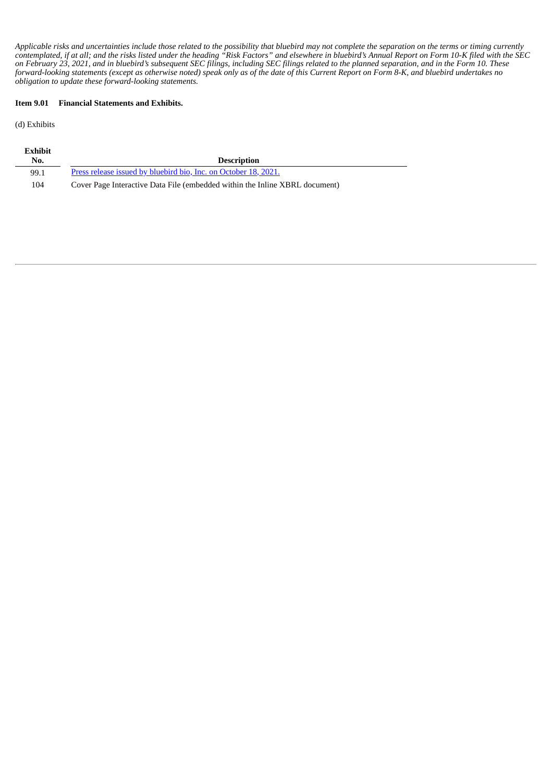Applicable risks and uncertainties include those related to the possibility that bluebird may not complete the separation on the terms or timing currently contemplated, if at all; and the risks listed under the heading "Risk Factors" and elsewhere in bluebird's Annual Report on Form 10-K filed with the SEC on February 23, 2021, and in bluebird's subsequent SEC filings, including SEC filings related to the planned separation, and in the Form 10. These forward-looking statements (except as otherwise noted) speak only as of the date of this Current Report on Form 8-K, and bluebird undertakes no *obligation to update these forward-looking statements.*

#### **Item 9.01 Financial Statements and Exhibits.**

(d) Exhibits

| <b>Exhibit</b> |                                                                             |
|----------------|-----------------------------------------------------------------------------|
| No.            | <b>Description</b>                                                          |
| 99.1           | Press release issued by bluebird bio, Inc. on October 18, 2021.             |
| 104            | Cover Page Interactive Data File (embedded within the Inline XBRL document) |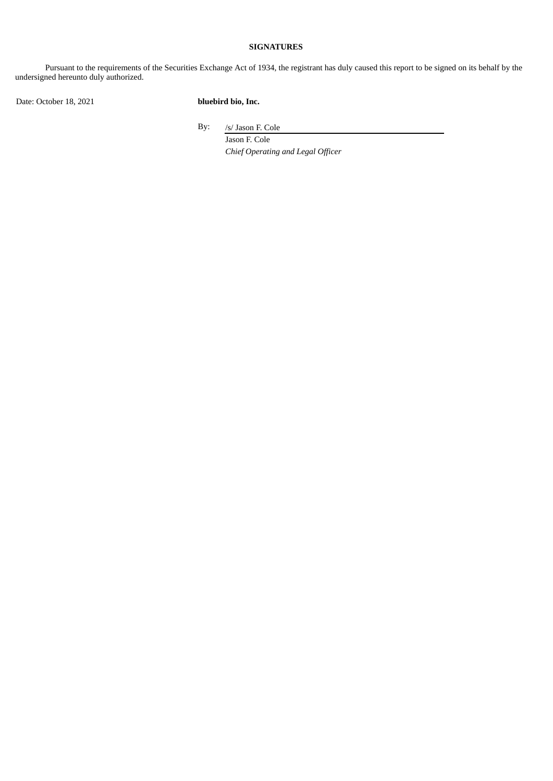#### **SIGNATURES**

Pursuant to the requirements of the Securities Exchange Act of 1934, the registrant has duly caused this report to be signed on its behalf by the undersigned hereunto duly authorized.

Date: October 18, 2021 **bluebird bio, Inc.**

By: /s/ Jason F. Cole

Jason F. Cole *Chief Operating and Legal Officer*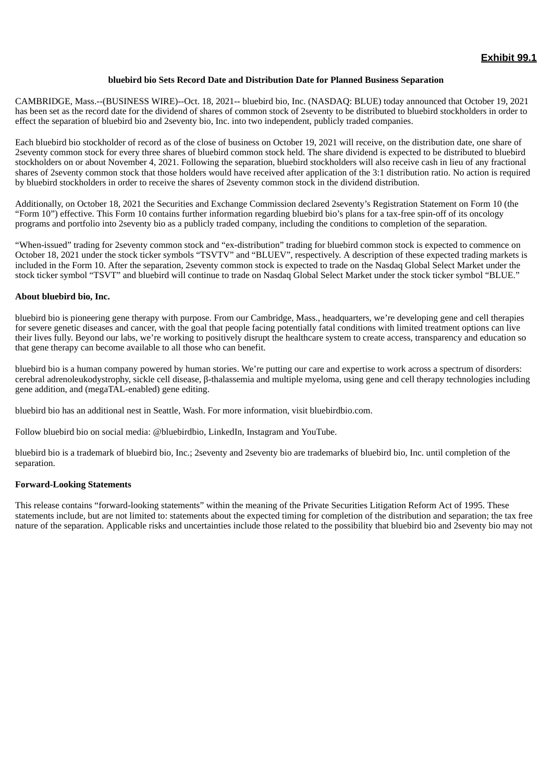#### **bluebird bio Sets Record Date and Distribution Date for Planned Business Separation**

<span id="page-4-0"></span>CAMBRIDGE, Mass.--(BUSINESS WIRE)--Oct. 18, 2021-- bluebird bio, Inc. (NASDAQ: BLUE) today announced that October 19, 2021 has been set as the record date for the dividend of shares of common stock of 2seventy to be distributed to bluebird stockholders in order to effect the separation of bluebird bio and 2seventy bio, Inc. into two independent, publicly traded companies.

Each bluebird bio stockholder of record as of the close of business on October 19, 2021 will receive, on the distribution date, one share of 2seventy common stock for every three shares of bluebird common stock held. The share dividend is expected to be distributed to bluebird stockholders on or about November 4, 2021. Following the separation, bluebird stockholders will also receive cash in lieu of any fractional shares of 2seventy common stock that those holders would have received after application of the 3:1 distribution ratio. No action is required by bluebird stockholders in order to receive the shares of 2seventy common stock in the dividend distribution.

Additionally, on October 18, 2021 the Securities and Exchange Commission declared 2seventy's Registration Statement on Form 10 (the "Form 10") effective. This Form 10 contains further information regarding bluebird bio's plans for a tax-free spin-off of its oncology programs and portfolio into 2seventy bio as a publicly traded company, including the conditions to completion of the separation.

"When-issued" trading for 2seventy common stock and "ex-distribution" trading for bluebird common stock is expected to commence on October 18, 2021 under the stock ticker symbols "TSVTV" and "BLUEV", respectively. A description of these expected trading markets is included in the Form 10. After the separation, 2seventy common stock is expected to trade on the Nasdaq Global Select Market under the stock ticker symbol "TSVT" and bluebird will continue to trade on Nasdaq Global Select Market under the stock ticker symbol "BLUE."

#### **About bluebird bio, Inc.**

bluebird bio is pioneering gene therapy with purpose. From our Cambridge, Mass., headquarters, we're developing gene and cell therapies for severe genetic diseases and cancer, with the goal that people facing potentially fatal conditions with limited treatment options can live their lives fully. Beyond our labs, we're working to positively disrupt the healthcare system to create access, transparency and education so that gene therapy can become available to all those who can benefit.

bluebird bio is a human company powered by human stories. We're putting our care and expertise to work across a spectrum of disorders: cerebral adrenoleukodystrophy, sickle cell disease, β-thalassemia and multiple myeloma, using gene and cell therapy technologies including gene addition, and (megaTAL-enabled) gene editing.

bluebird bio has an additional nest in Seattle, Wash. For more information, visit bluebirdbio.com.

Follow bluebird bio on social media: @bluebirdbio, LinkedIn, Instagram and YouTube.

bluebird bio is a trademark of bluebird bio, Inc.; 2seventy and 2seventy bio are trademarks of bluebird bio, Inc. until completion of the separation.

#### **Forward-Looking Statements**

This release contains "forward-looking statements" within the meaning of the Private Securities Litigation Reform Act of 1995. These statements include, but are not limited to: statements about the expected timing for completion of the distribution and separation; the tax free nature of the separation. Applicable risks and uncertainties include those related to the possibility that bluebird bio and 2seventy bio may not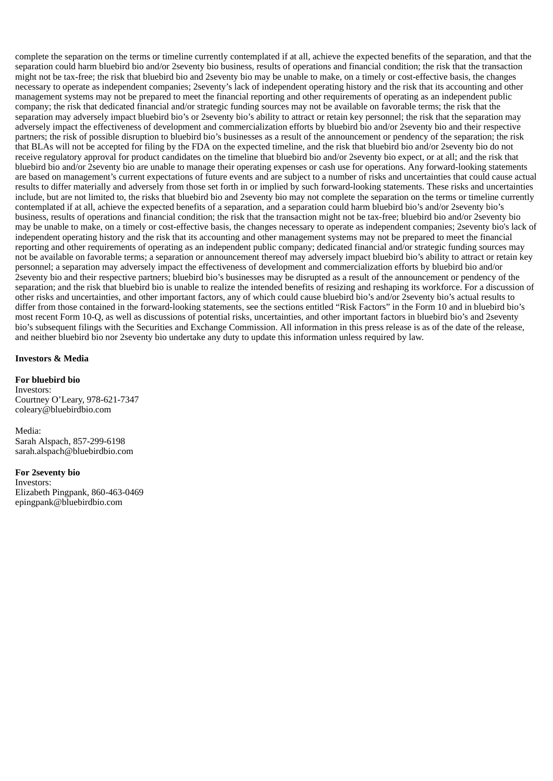complete the separation on the terms or timeline currently contemplated if at all, achieve the expected benefits of the separation, and that the separation could harm bluebird bio and/or 2seventy bio business, results of operations and financial condition; the risk that the transaction might not be tax-free; the risk that bluebird bio and 2seventy bio may be unable to make, on a timely or cost-effective basis, the changes necessary to operate as independent companies; 2seventy's lack of independent operating history and the risk that its accounting and other management systems may not be prepared to meet the financial reporting and other requirements of operating as an independent public company; the risk that dedicated financial and/or strategic funding sources may not be available on favorable terms; the risk that the separation may adversely impact bluebird bio's or 2seventy bio's ability to attract or retain key personnel; the risk that the separation may adversely impact the effectiveness of development and commercialization efforts by bluebird bio and/or 2seventy bio and their respective partners; the risk of possible disruption to bluebird bio's businesses as a result of the announcement or pendency of the separation; the risk that BLAs will not be accepted for filing by the FDA on the expected timeline, and the risk that bluebird bio and/or 2seventy bio do not receive regulatory approval for product candidates on the timeline that bluebird bio and/or 2seventy bio expect, or at all; and the risk that bluebird bio and/or 2seventy bio are unable to manage their operating expenses or cash use for operations. Any forward-looking statements are based on management's current expectations of future events and are subject to a number of risks and uncertainties that could cause actual results to differ materially and adversely from those set forth in or implied by such forward-looking statements. These risks and uncertainties include, but are not limited to, the risks that bluebird bio and 2seventy bio may not complete the separation on the terms or timeline currently contemplated if at all, achieve the expected benefits of a separation, and a separation could harm bluebird bio's and/or 2seventy bio's business, results of operations and financial condition; the risk that the transaction might not be tax-free; bluebird bio and/or 2seventy bio may be unable to make, on a timely or cost-effective basis, the changes necessary to operate as independent companies; 2seventy bio's lack of independent operating history and the risk that its accounting and other management systems may not be prepared to meet the financial reporting and other requirements of operating as an independent public company; dedicated financial and/or strategic funding sources may not be available on favorable terms; a separation or announcement thereof may adversely impact bluebird bio's ability to attract or retain key personnel; a separation may adversely impact the effectiveness of development and commercialization efforts by bluebird bio and/or 2seventy bio and their respective partners; bluebird bio's businesses may be disrupted as a result of the announcement or pendency of the separation; and the risk that bluebird bio is unable to realize the intended benefits of resizing and reshaping its workforce. For a discussion of other risks and uncertainties, and other important factors, any of which could cause bluebird bio's and/or 2seventy bio's actual results to differ from those contained in the forward-looking statements, see the sections entitled "Risk Factors" in the Form 10 and in bluebird bio's most recent Form 10-Q, as well as discussions of potential risks, uncertainties, and other important factors in bluebird bio's and 2seventy bio's subsequent filings with the Securities and Exchange Commission. All information in this press release is as of the date of the release, and neither bluebird bio nor 2seventy bio undertake any duty to update this information unless required by law.

#### **Investors & Media**

**For bluebird bio** Investors: Courtney O'Leary, 978-621-7347 coleary@bluebirdbio.com

Media: Sarah Alspach, 857-299-6198 sarah.alspach@bluebirdbio.com

**For 2seventy bio** Investors: Elizabeth Pingpank, 860-463-0469 epingpank@bluebirdbio.com